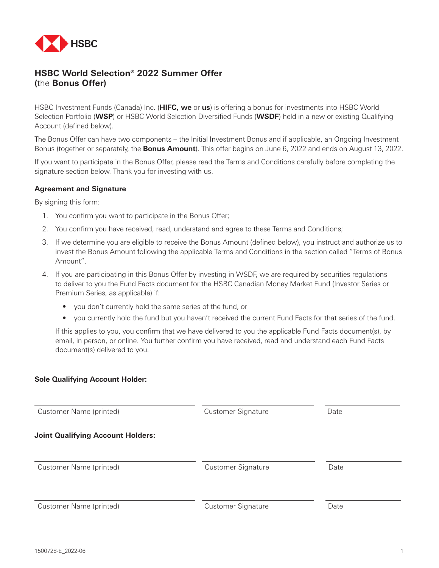

# **HSBC World Selection® 2022 Summer Offer (**the **Bonus Offer)**

HSBC Investment Funds (Canada) Inc. (**HIFC, we** or **us**) is offering a bonus for investments into HSBC World Selection Portfolio (**WSP**) or HSBC World Selection Diversified Funds (**WSDF**) held in a new or existing Qualifying Account (defined below).

The Bonus Offer can have two components – the Initial Investment Bonus and if applicable, an Ongoing Investment Bonus (together or separately, the **Bonus Amount**). This offer begins on June 6, 2022 and ends on August 13, 2022.

If you want to participate in the Bonus Offer, please read the Terms and Conditions carefully before completing the signature section below. Thank you for investing with us.

#### **Agreement and Signature**

By signing this form:

- 1. You confirm you want to participate in the Bonus Offer;
- 2. You confirm you have received, read, understand and agree to these Terms and Conditions;
- 3. If we determine you are eligible to receive the Bonus Amount (defined below), you instruct and authorize us to invest the Bonus Amount following the applicable Terms and Conditions in the section called "Terms of Bonus Amount".
- 4. If you are participating in this Bonus Offer by investing in WSDF, we are required by securities regulations to deliver to you the Fund Facts document for the HSBC Canadian Money Market Fund (Investor Series or Premium Series, as applicable) if:
	- you don't currently hold the same series of the fund, or
	- you currently hold the fund but you haven't received the current Fund Facts for that series of the fund.

If this applies to you, you confirm that we have delivered to you the applicable Fund Facts document(s), by email, in person, or online. You further confirm you have received, read and understand each Fund Facts document(s) delivered to you.

#### **Sole Qualifying Account Holder:**

| Customer Name (printed)                  | <b>Customer Signature</b> | Date |  |
|------------------------------------------|---------------------------|------|--|
| <b>Joint Qualifying Account Holders:</b> |                           |      |  |
| Customer Name (printed)                  | <b>Customer Signature</b> | Date |  |
| Customer Name (printed)                  | Customer Signature        | Date |  |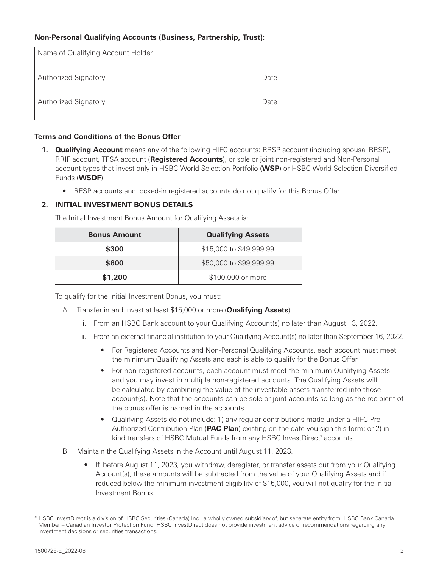### **Non-Personal Qualifying Accounts (Business, Partnership, Trust):**

| Name of Qualifying Account Holder |      |
|-----------------------------------|------|
| <b>Authorized Signatory</b>       | Date |
| <b>Authorized Signatory</b>       | Date |

### **Terms and Conditions of the Bonus Offer**

- **1. Qualifying Account** means any of the following HIFC accounts: RRSP account (including spousal RRSP), RRIF account, TFSA account (**Registered Accounts**), or sole or joint non-registered and Non-Personal account types that invest only in HSBC World Selection Portfolio (**WSP**) or HSBC World Selection Diversified Funds (**WSDF**).
	- RESP accounts and locked-in registered accounts do not qualify for this Bonus Offer.

#### **2. INITIAL INVESTMENT BONUS DETAILS**

The Initial Investment Bonus Amount for Qualifying Assets is:

| <b>Bonus Amount</b> | <b>Qualifying Assets</b> |  |
|---------------------|--------------------------|--|
| \$300               | \$15,000 to \$49,999.99  |  |
| \$600               | \$50,000 to \$99,999.99  |  |
| \$1,200             | \$100,000 or more        |  |

To qualify for the Initial Investment Bonus, you must:

- A. Transfer in and invest at least \$15,000 or more (**Qualifying Assets**)
	- i. From an HSBC Bank account to your Qualifying Account(s) no later than August 13, 2022.
	- ii. From an external financial institution to your Qualifying Account(s) no later than September 16, 2022.
		- For Registered Accounts and Non-Personal Qualifying Accounts, each account must meet the minimum Qualifying Assets and each is able to qualify for the Bonus Offer.
		- For non-registered accounts, each account must meet the minimum Qualifying Assets and you may invest in multiple non-registered accounts. The Qualifying Assets will be calculated by combining the value of the investable assets transferred into those account(s). Note that the accounts can be sole or joint accounts so long as the recipient of the bonus offer is named in the accounts.
		- Qualifying Assets do not include: 1) any regular contributions made under a HIFC Pre-Authorized Contribution Plan (**PAC Plan**) existing on the date you sign this form; or 2) inkind transfers of HSBC Mutual Funds from any HSBC InvestDirect\* accounts.
- B. Maintain the Qualifying Assets in the Account until August 11, 2023.
	- If, before August 11, 2023, you withdraw, deregister, or transfer assets out from your Qualifying Account(s), these amounts will be subtracted from the value of your Qualifying Assets and if reduced below the minimum investment eligibility of \$15,000, you will not qualify for the Initial Investment Bonus.

<sup>\*</sup> HSBC InvestDirect is a division of HSBC Securities (Canada) Inc., a wholly owned subsidiary of, but separate entity from, HSBC Bank Canada. Member – Canadian Investor Protection Fund. HSBC InvestDirect does not provide investment advice or recommendations regarding any investment decisions or securities transactions.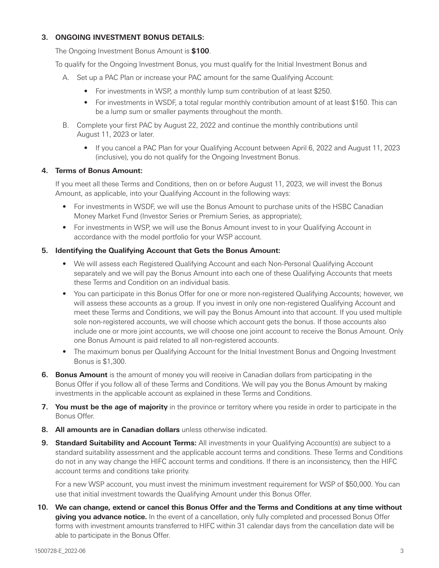## **3. ONGOING INVESTMENT BONUS DETAILS:**

The Ongoing Investment Bonus Amount is **\$100**.

To qualify for the Ongoing Investment Bonus, you must qualify for the Initial Investment Bonus and

- A. Set up a PAC Plan or increase your PAC amount for the same Qualifying Account:
	- For investments in WSP, a monthly lump sum contribution of at least \$250.
	- For investments in WSDF, a total regular monthly contribution amount of at least \$150. This can be a lump sum or smaller payments throughout the month.
- B. Complete your first PAC by August 22, 2022 and continue the monthly contributions until August 11, 2023 or later.
	- If you cancel a PAC Plan for your Qualifying Account between April 6, 2022 and August 11, 2023 (inclusive), you do not qualify for the Ongoing Investment Bonus.

#### **4. Terms of Bonus Amount:**

If you meet all these Terms and Conditions, then on or before August 11, 2023, we will invest the Bonus Amount, as applicable, into your Qualifying Account in the following ways:

- For investments in WSDF, we will use the Bonus Amount to purchase units of the HSBC Canadian Money Market Fund (Investor Series or Premium Series, as appropriate);
- For investments in WSP, we will use the Bonus Amount invest to in your Qualifying Account in accordance with the model portfolio for your WSP account.

#### **5. Identifying the Qualifying Account that Gets the Bonus Amount:**

- We will assess each Registered Qualifying Account and each Non-Personal Qualifying Account separately and we will pay the Bonus Amount into each one of these Qualifying Accounts that meets these Terms and Condition on an individual basis.
- You can participate in this Bonus Offer for one or more non-registered Qualifying Accounts; however, we will assess these accounts as a group. If you invest in only one non-registered Qualifying Account and meet these Terms and Conditions, we will pay the Bonus Amount into that account. If you used multiple sole non-registered accounts, we will choose which account gets the bonus. If those accounts also include one or more joint accounts, we will choose one joint account to receive the Bonus Amount. Only one Bonus Amount is paid related to all non-registered accounts.
- The maximum bonus per Qualifying Account for the Initial Investment Bonus and Ongoing Investment Bonus is \$1,300.
- **6. Bonus Amount** is the amount of money you will receive in Canadian dollars from participating in the Bonus Offer if you follow all of these Terms and Conditions. We will pay you the Bonus Amount by making investments in the applicable account as explained in these Terms and Conditions.
- **7. You must be the age of majority** in the province or territory where you reside in order to participate in the Bonus Offer.
- **8. All amounts are in Canadian dollars** unless otherwise indicated.
- **9. Standard Suitability and Account Terms:** All investments in your Qualifying Account(s) are subject to a standard suitability assessment and the applicable account terms and conditions. These Terms and Conditions do not in any way change the HIFC account terms and conditions. If there is an inconsistency, then the HIFC account terms and conditions take priority.

For a new WSP account, you must invest the minimum investment requirement for WSP of \$50,000. You can use that initial investment towards the Qualifying Amount under this Bonus Offer.

**10. We can change, extend or cancel this Bonus Offer and the Terms and Conditions at any time without giving you advance notice.** In the event of a cancellation, only fully completed and processed Bonus Offer forms with investment amounts transferred to HIFC within 31 calendar days from the cancellation date will be able to participate in the Bonus Offer.